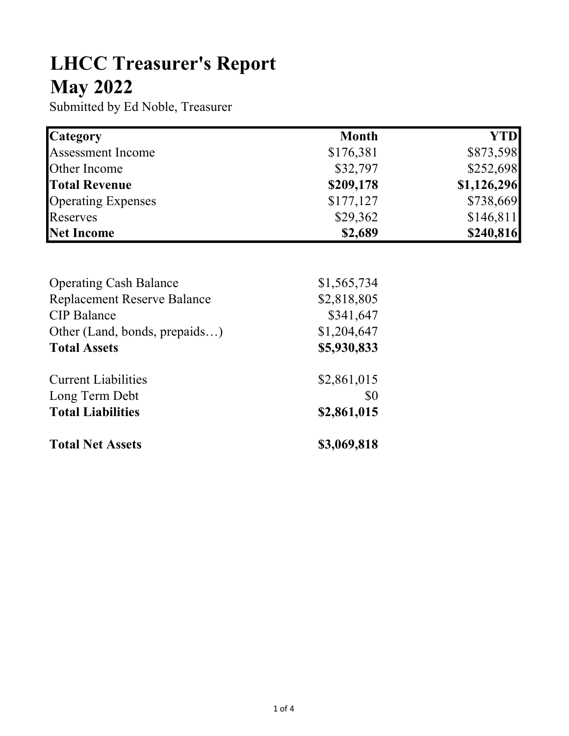## LHCC Treasurer's Report May 2022

Submitted by Ed Noble, Treasurer

| <b>Category</b>           | <b>Month</b> | YTD         |
|---------------------------|--------------|-------------|
| <b>Assessment Income</b>  | \$176,381    | \$873,598   |
| Other Income              | \$32,797     | \$252,698   |
| <b>Total Revenue</b>      | \$209,178    | \$1,126,296 |
| <b>Operating Expenses</b> | \$177,127    | \$738,669   |
| Reserves                  | \$29,362     | \$146,811   |
| Net Income                | \$2,689      | \$240,816   |

| <b>Operating Cash Balance</b>      | \$1,565,734 |
|------------------------------------|-------------|
| <b>Replacement Reserve Balance</b> | \$2,818,805 |
| <b>CIP</b> Balance                 | \$341,647   |
| Other (Land, bonds, prepaids)      | \$1,204,647 |
| <b>Total Assets</b>                | \$5,930,833 |
| <b>Current Liabilities</b>         | \$2,861,015 |
| Long Term Debt                     | \$0         |
| <b>Total Liabilities</b>           | \$2,861,015 |
| <b>Total Net Assets</b>            | \$3,069,818 |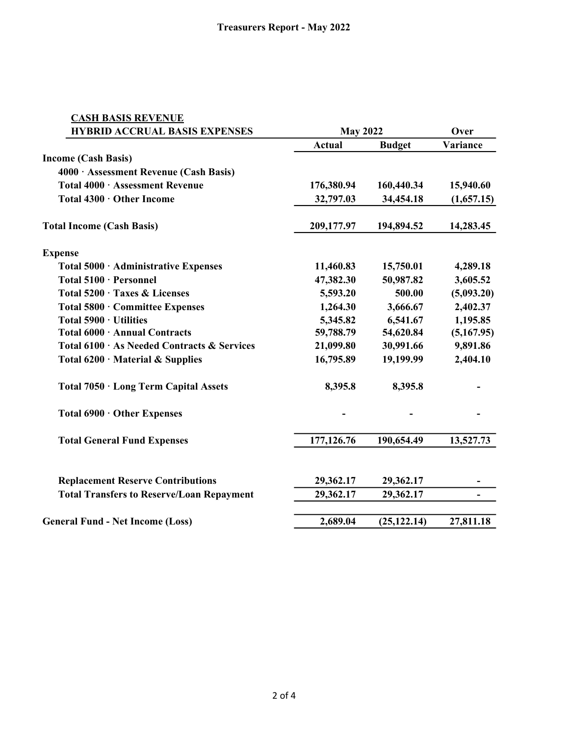| <b>CASH BASIS REVENUE</b>                        |               |                 |            |
|--------------------------------------------------|---------------|-----------------|------------|
| <b>HYBRID ACCRUAL BASIS EXPENSES</b>             |               | <b>May 2022</b> |            |
|                                                  | <b>Actual</b> | <b>Budget</b>   | Variance   |
| <b>Income (Cash Basis)</b>                       |               |                 |            |
| 4000 · Assessment Revenue (Cash Basis)           |               |                 |            |
| Total 4000 · Assessment Revenue                  | 176,380.94    | 160,440.34      | 15,940.60  |
| Total 4300 · Other Income                        | 32,797.03     | 34,454.18       | (1,657.15) |
| <b>Total Income (Cash Basis)</b>                 | 209,177.97    | 194,894.52      | 14,283.45  |
| <b>Expense</b>                                   |               |                 |            |
| Total 5000 · Administrative Expenses             | 11,460.83     | 15,750.01       | 4,289.18   |
| Total 5100 · Personnel                           | 47,382.30     | 50,987.82       | 3,605.52   |
| Total 5200 · Taxes & Licenses                    | 5,593.20      | 500.00          | (5,093.20) |
| Total 5800 · Committee Expenses                  | 1,264.30      | 3,666.67        | 2,402.37   |
| Total 5900 · Utilities                           | 5,345.82      | 6,541.67        | 1,195.85   |
| Total 6000 · Annual Contracts                    | 59,788.79     | 54,620.84       | (5,167.95) |
| Total 6100 · As Needed Contracts & Services      | 21,099.80     | 30,991.66       | 9,891.86   |
| Total $6200 \cdot$ Material & Supplies           | 16,795.89     | 19,199.99       | 2,404.10   |
| Total 7050 · Long Term Capital Assets            | 8,395.8       | 8,395.8         |            |
| Total 6900 · Other Expenses                      |               |                 |            |
| <b>Total General Fund Expenses</b>               | 177,126.76    | 190,654.49      | 13,527.73  |
| <b>Replacement Reserve Contributions</b>         | 29,362.17     | 29,362.17       |            |
| <b>Total Transfers to Reserve/Loan Repayment</b> | 29,362.17     | 29,362.17       |            |
|                                                  |               |                 |            |
| <b>General Fund - Net Income (Loss)</b>          | 2,689.04      | (25, 122.14)    | 27,811.18  |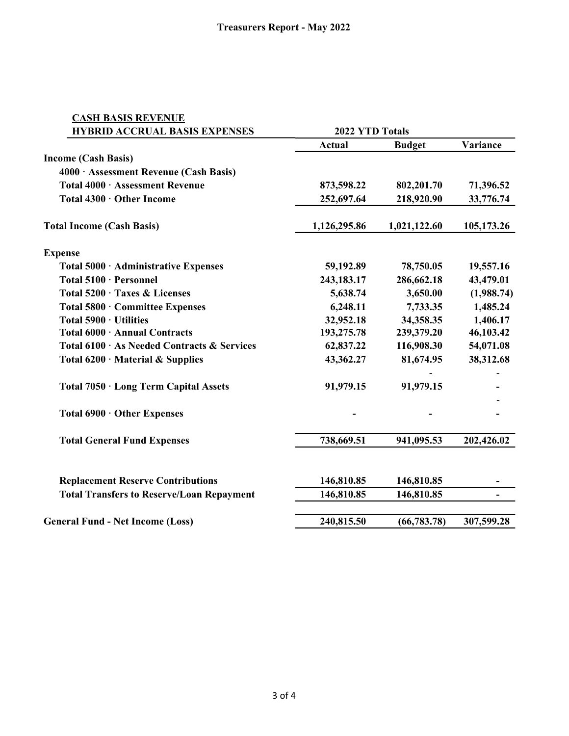| <b>CASH BASIS REVENUE</b><br><b>HYBRID ACCRUAL BASIS EXPENSES</b> | 2022 YTD Totals |               |            |
|-------------------------------------------------------------------|-----------------|---------------|------------|
|                                                                   | <b>Actual</b>   | <b>Budget</b> | Variance   |
| <b>Income (Cash Basis)</b>                                        |                 |               |            |
| 4000 · Assessment Revenue (Cash Basis)                            |                 |               |            |
| Total 4000 · Assessment Revenue                                   | 873,598.22      | 802,201.70    | 71,396.52  |
| Total 4300 · Other Income                                         | 252,697.64      |               | 33,776.74  |
|                                                                   |                 | 218,920.90    |            |
| <b>Total Income (Cash Basis)</b>                                  | 1,126,295.86    | 1,021,122.60  | 105,173.26 |
| <b>Expense</b>                                                    |                 |               |            |
| Total 5000 · Administrative Expenses                              | 59,192.89       | 78,750.05     | 19,557.16  |
| Total 5100 · Personnel                                            | 243,183.17      | 286,662.18    | 43,479.01  |
| Total 5200 · Taxes & Licenses                                     | 5,638.74        | 3,650.00      | (1,988.74) |
| Total 5800 · Committee Expenses                                   | 6,248.11        | 7,733.35      | 1,485.24   |
| Total $5900 \cdot$ Utilities                                      | 32,952.18       | 34,358.35     | 1,406.17   |
| Total 6000 · Annual Contracts                                     | 193,275.78      | 239,379.20    | 46,103.42  |
| Total 6100 · As Needed Contracts & Services                       | 62,837.22       | 116,908.30    | 54,071.08  |
| Total 6200 · Material & Supplies                                  | 43,362.27       | 81,674.95     | 38,312.68  |
| Total 7050 · Long Term Capital Assets                             | 91,979.15       | 91,979.15     |            |
| Total 6900 · Other Expenses                                       |                 |               |            |
| <b>Total General Fund Expenses</b>                                | 738,669.51      | 941,095.53    | 202,426.02 |
| <b>Replacement Reserve Contributions</b>                          | 146,810.85      | 146,810.85    |            |
| <b>Total Transfers to Reserve/Loan Repayment</b>                  | 146,810.85      | 146,810.85    |            |
|                                                                   |                 |               |            |
| <b>General Fund - Net Income (Loss)</b>                           | 240,815.50      | (66, 783.78)  | 307,599.28 |